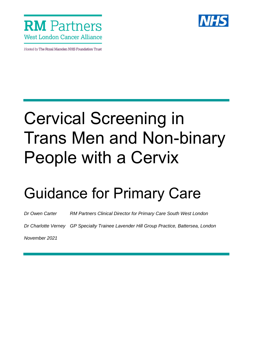

Hosted by The Royal Marsden NHS Foundation Trust



# Cervical Screening in Trans Men and Non-binary People with a Cervix

## Guidance for Primary Care

*Dr Owen Carter RM Partners Clinical Director for Primary Care South West London*

*Dr Charlotte Verney GP Specialty Trainee Lavender Hill Group Practice, Battersea, London* 

*November 2021*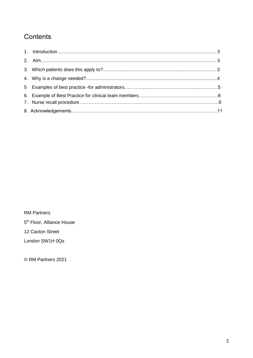### **Contents**

RM Partners

5<sup>th</sup> Floor, Alliance House

12 Caxton Street

London SW1H 0Qs

© RM Partners 2021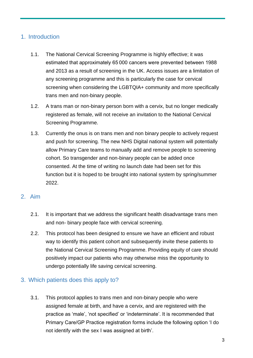#### 1. Introduction

- 1.1. The National Cervical Screening Programme is highly effective; it was estimated that approximately 65 000 cancers were prevented between 1988 and 2013 as a result of screening in the UK. Access issues are a limitation of any screening programme and this is particularly the case for cervical screening when considering the LGBTQIA+ community and more specifically trans men and non-binary people.
- 1.2. A trans man or non-binary person born with a cervix, but no longer medically registered as female, will not receive an invitation to the National Cervical Screening Programme.
- 1.3. Currently the onus is on trans men and non binary people to actively request and push for screening. The new NHS Digital national system will potentially allow Primary Care teams to manually add and remove people to screening cohort. So transgender and non-binary people can be added once consented. At the time of writing no launch date had been set for this function but it is hoped to be brought into national system by spring/summer 2022.

#### 2. Aim

- 2.1. It is important that we address the significant health disadvantage trans men and non- binary people face with cervical screening.
- 2.2. This protocol has been designed to ensure we have an efficient and robust way to identify this patient cohort and subsequently invite these patients to the National Cervical Screening Programme. Providing equity of care should positively impact our patients who may otherwise miss the opportunity to undergo potentially life saving cervical screening.

#### 3. Which patients does this apply to?

3.1. This protocol applies to trans men and non-binary people who were assigned female at birth, and have a cervix, and are registered with the practice as 'male', 'not specified' or 'indeterminate'. It is recommended that Primary Care/GP Practice registration forms include the following option 'I do not identify with the sex I was assigned at birth'.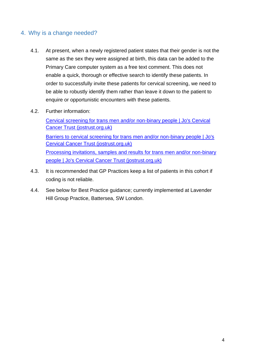#### 4. Why is a change needed?

- 4.1. At present, when a newly registered patient states that their gender is not the same as the sex they were assigned at birth, this data can be added to the Primary Care computer system as a free text comment. This does not enable a quick, thorough or effective search to identify these patients. In order to successfully invite these patients for cervical screening, we need to be able to robustly identify them rather than leave it down to the patient to enquire or opportunistic encounters with these patients.
- 4.2. Further information:

[Cervical screening for trans men and/or non-binary people | Jo's Cervical](https://www.jostrust.org.uk/professionals/health-professionals/nurse-gp/trans-non-binary)  [Cancer Trust \(jostrust.org.uk\)](https://www.jostrust.org.uk/professionals/health-professionals/nurse-gp/trans-non-binary) [Barriers to cervical screening for trans men and/or non-binary people | Jo's](https://www.jostrust.org.uk/professionals/health-professionals/nurse-gp/trans-non-binary/barriers)  [Cervical Cancer Trust \(jostrust.org.uk\)](https://www.jostrust.org.uk/professionals/health-professionals/nurse-gp/trans-non-binary/barriers) [Processing invitations, samples and results for trans men and/or non-binary](https://www.jostrust.org.uk/professionals/health-professionals/nurse-gp/trans-non-binary/process)  [people | Jo's Cervical Cancer Trust \(jostrust.org.uk\)](https://www.jostrust.org.uk/professionals/health-professionals/nurse-gp/trans-non-binary/process)

- 4.3. It is recommended that GP Practices keep a list of patients in this cohort if coding is not reliable.
- 4.4. See below for Best Practice guidance; currently implemented at Lavender Hill Group Practice, Battersea, SW London.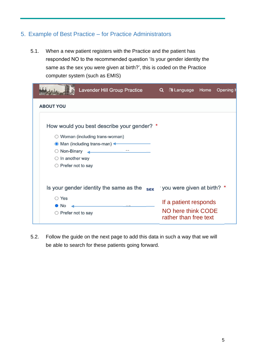#### 5. Example of Best Practice – for Practice Administrators

5.1. When a new patient registers with the Practice and the patient has responded NO to the recommended question 'Is your gender identity the same as the sex you were given at birth?', this is coded on the Practice computer system (such as EMIS)

| <b>Lavender Hill Group Practice</b>                                   | Q <b>A Language</b> Home       | Opening <b>H</b> |
|-----------------------------------------------------------------------|--------------------------------|------------------|
| <b>ABOUT YOU</b>                                                      |                                |                  |
| How would you best describe your gender? *                            |                                |                  |
| ◯ Woman (including trans-woman)                                       |                                |                  |
| ● Man (including trans-man) ←                                         |                                |                  |
| the contract of the contract of the contract of<br>$\circ$ Non-Binary |                                |                  |
| $\bigcirc$ In another way                                             |                                |                  |
| $\bigcirc$ Prefer not to say                                          |                                |                  |
|                                                                       |                                |                  |
| Is your gender identity the same as the                               | sex you were given at birth? * |                  |
| ◯ Yes                                                                 |                                |                  |
| <b>No</b>                                                             | If a patient responds          |                  |
| $\circ$ Prefer not to say                                             | NO here think CODE             |                  |
|                                                                       | rather than free text          |                  |

5.2. Follow the guide on the next page to add this data in such a way that we will be able to search for these patients going forward.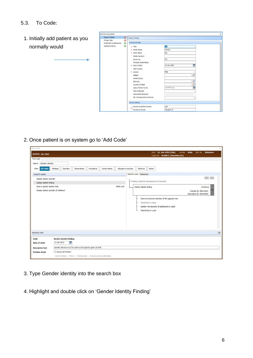#### 5.3. To Code:

1. Initially add patient as you normally would

| <b>Patient Details</b>                   | $\circledcirc$<br><b>Patient Details</b>                                                                                                                                                                                                                                                                      |                                                                                                      |  |
|------------------------------------------|---------------------------------------------------------------------------------------------------------------------------------------------------------------------------------------------------------------------------------------------------------------------------------------------------------------|------------------------------------------------------------------------------------------------------|--|
| Primary Care<br>Notification preferences | o<br>Personal Details<br>Ø                                                                                                                                                                                                                                                                                    |                                                                                                      |  |
| <b>Additional Notes</b>                  | Ø<br>* Title<br>* Family Name<br>* Given Name<br>Middle Name(s)<br>Known as<br>Previous Family Name<br>* Date of Birth<br>NHS Number<br>* Gender<br>Religion<br>Marital Status<br>Ethnicity<br>Country Of Birth<br>Date of Entry to UK<br>Main Language<br>Interpreter Required<br>Alt. Correspondence Format | Joe<br>Dummy<br>Joe<br>Joe<br>01-Jan-1992<br>Male<br>P<br>₽<br>P<br>dd-MMM-yyyy<br>m<br>$\checkmark$ |  |
|                                          | <b>Home Address</b>                                                                                                                                                                                                                                                                                           |                                                                                                      |  |
|                                          | House Name/Flat Number<br>$\star$                                                                                                                                                                                                                                                                             | 126                                                                                                  |  |
|                                          | Number & Street                                                                                                                                                                                                                                                                                               | Vaughan St                                                                                           |  |

2. Once patient is on system go to 'Add Code'

÷

| Add a Code                                                                                                                                                                                                          |                       |                                                                                                                                                                                                                                          | $\times$        |
|---------------------------------------------------------------------------------------------------------------------------------------------------------------------------------------------------------------------|-----------------------|------------------------------------------------------------------------------------------------------------------------------------------------------------------------------------------------------------------------------------------|-----------------|
| DUMMY, Joe (Joe)                                                                                                                                                                                                    |                       | $01$ -Jan-1992 (29y)<br>Gender<br><b>Unknown</b><br>NHS No.<br>Born<br>Male<br>Usual GP VERNEY, Charlotte (Dr)                                                                                                                           |                 |
| Find code                                                                                                                                                                                                           |                       |                                                                                                                                                                                                                                          |                 |
| Search Gender identity<br><b>All codes</b><br>Findings<br><b>Disorders</b><br>Family history<br>Observations<br>Procedures<br>Filter                                                                                | Allergies & reactions | Referrals<br>Admin                                                                                                                                                                                                                       |                 |
| 4 search results                                                                                                                                                                                                    |                       | Related codes Resources                                                                                                                                                                                                                  |                 |
| Gender identity disorder<br>Gender identity finding                                                                                                                                                                 |                       | $\begin{array}{ccc} \leftarrow & \rightarrow & \end{array}$<br>- Finding related to development of sexuality                                                                                                                             |                 |
| Seen in gender identity clinic<br>Gender identity disorder of childhood                                                                                                                                             | <b>EMIS</b> code      | Gender identity finding<br>(finding)<br>Concept ID: 285116001<br>Description ID: 424018015<br>Desire to become member of the opposite sex<br>Femininity in a boy<br>Gender role disorder of adolescent or adult<br>Masculinity in a girl |                 |
|                                                                                                                                                                                                                     |                       |                                                                                                                                                                                                                                          |                 |
| Selected code                                                                                                                                                                                                       |                       |                                                                                                                                                                                                                                          | $\vert x \vert$ |
| <b>Gender identity finding</b><br>Code<br>m<br>31-Jan-2021<br>Date of entry<br>Gender identiy is not the same as the gender given at birth<br><b>Descriptive text</b><br>Record as Problem<br><b>Problem detail</b> |                       |                                                                                                                                                                                                                                          |                 |
| Active Problem + Minor + First Episode + Remains active indefinitely +                                                                                                                                              |                       |                                                                                                                                                                                                                                          |                 |

- 3. Type Gender identity into the search box
- 4. Highlight and double click on 'Gender Identity Finding'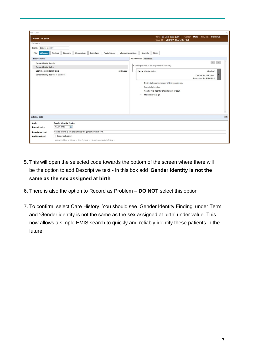| Add a Code                            |                                                                              |                                             |                                                                                                                                            |                                                                                                | $\times$     |  |
|---------------------------------------|------------------------------------------------------------------------------|---------------------------------------------|--------------------------------------------------------------------------------------------------------------------------------------------|------------------------------------------------------------------------------------------------|--------------|--|
| DUMMY, Joe (Joe)                      |                                                                              |                                             | Born 01-Jan-1992 (29y)<br>Gender<br>Usual GP VERNEY, Charlotte (Dr)                                                                        | Male<br>NHS No. Unknown                                                                        |              |  |
| Find code                             |                                                                              |                                             |                                                                                                                                            |                                                                                                |              |  |
| Search Gender identity                |                                                                              |                                             |                                                                                                                                            |                                                                                                |              |  |
| All codes<br>Filter                   | Findings<br><b>Disorders</b><br>Observations<br>Procedures<br>Family history | Allergies & reactions<br>Referrals          | Admin                                                                                                                                      |                                                                                                |              |  |
| 4 search results                      |                                                                              | Related codes Resources                     |                                                                                                                                            |                                                                                                |              |  |
| Gender identity disorder              |                                                                              |                                             |                                                                                                                                            | $\begin{array}{c c c c c c} \hline \begin{array}{c} \times & \times \end{array} & \end{array}$ |              |  |
| Gender identity finding               |                                                                              |                                             | - Finding related to development of sexuality                                                                                              |                                                                                                |              |  |
| Seen in gender identity clinic        |                                                                              | <b>EMIS</b> code<br>Gender identity finding |                                                                                                                                            | (finding)                                                                                      |              |  |
| Gender identity disorder of childhood |                                                                              |                                             |                                                                                                                                            | Concept ID: 285116001<br>Description ID: 424018015                                             |              |  |
|                                       |                                                                              |                                             | Desire to become member of the opposite sex<br>Femininity in a boy<br>Gender role disorder of adolescent or adult<br>Masculinity in a girl |                                                                                                |              |  |
| Selected code                         |                                                                              |                                             |                                                                                                                                            |                                                                                                | $\mathbf{x}$ |  |
| Code                                  | <b>Gender identity finding</b>                                               |                                             |                                                                                                                                            |                                                                                                |              |  |
| Date of entry                         | m<br>31-Jan-2021                                                             |                                             |                                                                                                                                            |                                                                                                |              |  |
| <b>Descriptive text</b>               | Gender idently is not the same as the gender given at birth                  |                                             |                                                                                                                                            |                                                                                                |              |  |
| <b>Problem detail</b>                 | Record as Problem                                                            |                                             |                                                                                                                                            |                                                                                                |              |  |
|                                       |                                                                              |                                             |                                                                                                                                            |                                                                                                |              |  |

- 5. This will open the selected code towards the bottom of the screen where there will be the option to add Descriptive text - in this box add '**Gender identity is not the same as the sex assigned at birth**'
- 6. There is also the option to Record as Problem **DO NOT** select this option
- 7. To confirm, select Care History. You should see 'Gender Identity Finding' under Term and 'Gender identity is not the same as the sex assigned at birth' under value. This now allows a simple EMIS search to quickly and reliably identify these patients in the future.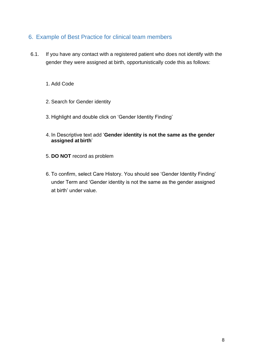#### 6. Example of Best Practice for clinical team members

- 6.1. If you have any contact with a registered patient who does not identify with the gender they were assigned at birth, opportunistically code this as follows:
	- 1. Add Code
	- 2. Search for Gender identity
	- 3. Highlight and double click on 'Gender Identity Finding'
	- 4. In Descriptive text add '**Gender identity is not the same as the gender assigned at birth**'
	- 5. **DO NOT** record as problem
	- 6. To confirm, select Care History. You should see 'Gender Identity Finding' under Term and 'Gender identity is not the same as the gender assigned at birth' under value.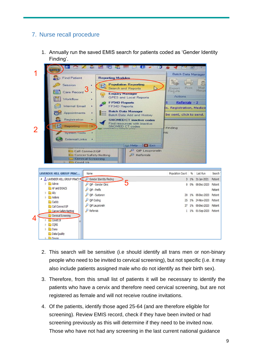#### 7. Nurse recall procedure

1. Annually run the saved EMIS search for patients coded as 'Gender Identity Finding'.



- 2. This search will be sensitive (i.e should identify all trans men or non-binary people who need to be invited to cervical screening), but not specific (i.e. it may also include patients assigned male who do not identify as their birth sex).
- 3. Therefore, from this small list of patients it will be necessary to identify the patients who have a cervix and therefore need cervical screening, but are not registered as female and will not receive routine invitations.
- 4. Of the patients, identify those aged 25-64 (and are therefore eligible for screening). Review EMIS record, check if they have been invited or had screening previously as this will determine if they need to be invited now. Those who have not had any screening in the last current national guidance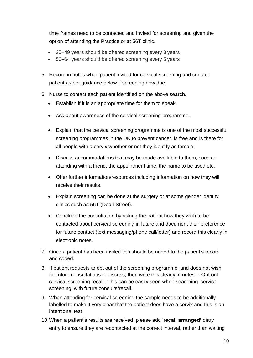time frames need to be contacted and invited for screening and given the option of attending the Practice or at 56T clinic.

- 25–49 years should be offered screening every 3 years
- 50–64 years should be offered screening every 5 years
- 5. Record in notes when patient invited for cervical screening and contact patient as per guidance below if screening now due.
- 6. Nurse to contact each patient identified on the above search.
	- Establish if it is an appropriate time for them to speak.
	- Ask about awareness of the cervical screening programme.
	- Explain that the cervical screening programme is one of the most successful screening programmes in the UK to prevent cancer, is free and is there for all people with a cervix whether or not they identify as female.
	- Discuss accommodations that may be made available to them, such as attending with a friend, the appointment time, the name to be used etc.
	- Offer further information/resources including information on how they will receive their results.
	- Explain screening can be done at the surgery or at some gender identity clinics such as 56T (Dean Street).
	- Conclude the consultation by asking the patient how they wish to be contacted about cervical screening in future and document their preference for future contact (text messaging/phone call/letter) and record this clearly in electronic notes.
- 7. Once a patient has been invited this should be added to the patient's record and coded.
- 8. If patient requests to opt out of the screening programme, and does not wish for future consultations to discuss, then write this clearly in notes – 'Opt out cervical screening recall'. This can be easily seen when searching 'cervical screening' with future consults/recall.
- 9. When attending for cervical screening the sample needs to be additionally labelled to make it very clear that the patient does have a cervix and this is an intentional test.
- 10.When a patient's results are received, please add '**recall arranged'** diary entry to ensure they are recontacted at the correct interval, rather than waiting